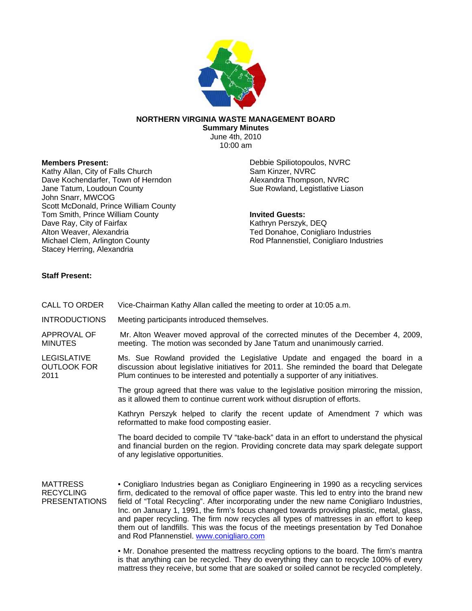

## **NORTHERN VIRGINIA WASTE MANAGEMENT BOARD**

**Summary Minutes**  June 4th, 2010 10:00 am

## **Members Present:**

Kathy Allan, City of Falls Church Dave Kochendarfer, Town of Herndon Jane Tatum, Loudoun County John Snarr, MWCOG Scott McDonald, Prince William County Tom Smith, Prince William County Dave Ray, City of Fairfax Alton Weaver, Alexandria Michael Clem, Arlington County Stacey Herring, Alexandria

Debbie Spiliotopoulos, NVRC Sam Kinzer, NVRC Alexandra Thompson, NVRC Sue Rowland, Legistlative Liason

**Invited Guests:**  Kathryn Perszyk, DEQ Ted Donahoe, Conigliaro Industries Rod Pfannenstiel, Conigliaro Industries

## **Staff Present:**

| CALL TO ORDER                                               | Vice-Chairman Kathy Allan called the meeting to order at 10:05 a.m.                                                                                                                                                                                                                                                                                                                                                                                                                                                                                                                                              |
|-------------------------------------------------------------|------------------------------------------------------------------------------------------------------------------------------------------------------------------------------------------------------------------------------------------------------------------------------------------------------------------------------------------------------------------------------------------------------------------------------------------------------------------------------------------------------------------------------------------------------------------------------------------------------------------|
| <b>INTRODUCTIONS</b>                                        | Meeting participants introduced themselves.                                                                                                                                                                                                                                                                                                                                                                                                                                                                                                                                                                      |
| APPROVAL OF<br><b>MINUTES</b>                               | Mr. Alton Weaver moved approval of the corrected minutes of the December 4, 2009,<br>meeting. The motion was seconded by Jane Tatum and unanimously carried.                                                                                                                                                                                                                                                                                                                                                                                                                                                     |
| <b>LEGISLATIVE</b><br><b>OUTLOOK FOR</b><br>2011            | Ms. Sue Rowland provided the Legislative Update and engaged the board in a<br>discussion about legislative initiatives for 2011. She reminded the board that Delegate<br>Plum continues to be interested and potentially a supporter of any initiatives.                                                                                                                                                                                                                                                                                                                                                         |
|                                                             | The group agreed that there was value to the legislative position mirroring the mission,<br>as it allowed them to continue current work without disruption of efforts.                                                                                                                                                                                                                                                                                                                                                                                                                                           |
|                                                             | Kathryn Perszyk helped to clarify the recent update of Amendment 7 which was<br>reformatted to make food composting easier.                                                                                                                                                                                                                                                                                                                                                                                                                                                                                      |
|                                                             | The board decided to compile TV "take-back" data in an effort to understand the physical<br>and financial burden on the region. Providing concrete data may spark delegate support<br>of any legislative opportunities.                                                                                                                                                                                                                                                                                                                                                                                          |
| <b>MATTRESS</b><br><b>RECYCLING</b><br><b>PRESENTATIONS</b> | • Conigliaro Industries began as Conigliaro Engineering in 1990 as a recycling services<br>firm, dedicated to the removal of office paper waste. This led to entry into the brand new<br>field of "Total Recycling". After incorporating under the new name Conigliaro Industries,<br>Inc. on January 1, 1991, the firm's focus changed towards providing plastic, metal, glass,<br>and paper recycling. The firm now recycles all types of mattresses in an effort to keep<br>them out of landfills. This was the focus of the meetings presentation by Ted Donahoe<br>and Rod Pfannenstiel. www.conigliaro.com |
|                                                             | • Mr. Donahoe presented the mattress recycling options to the board. The firm's mantra<br>is that anything can be recycled. They do everything they can to recycle 100% of every<br>mattress they receive, but some that are soaked or soiled cannot be recycled completely.                                                                                                                                                                                                                                                                                                                                     |